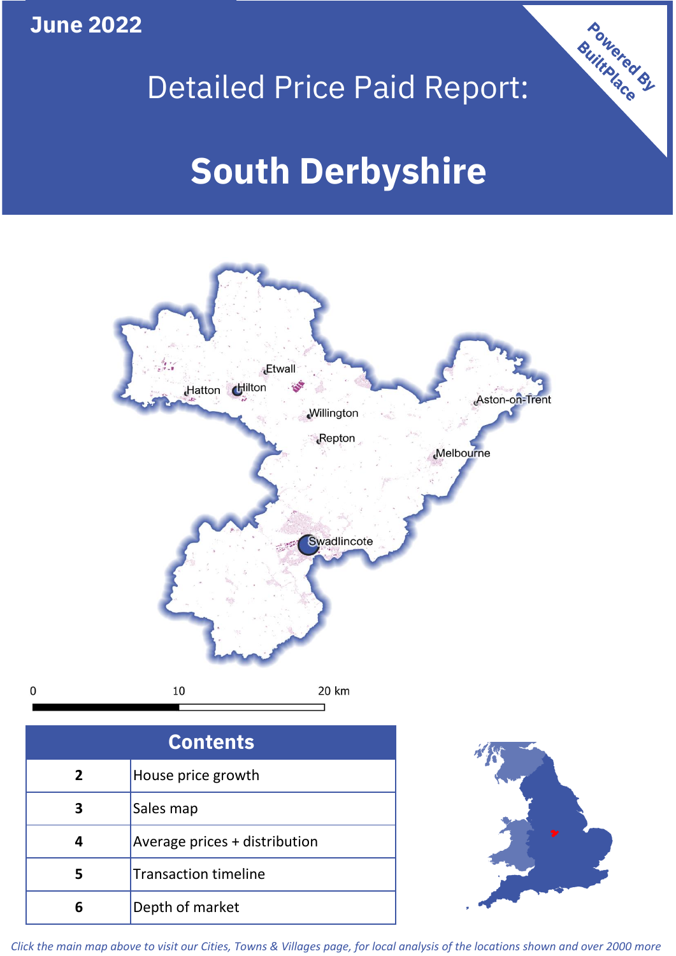**June 2022**

 $\mathbf 0$ 



# **Etwall** Hatton Hilton Aston-on-Trent Willington Repton Melbourne Swadlincote 10 20 km

| <b>Contents</b> |                               |  |  |
|-----------------|-------------------------------|--|--|
| $\overline{2}$  | House price growth            |  |  |
| 3               | Sales map                     |  |  |
|                 | Average prices + distribution |  |  |
| 5               | <b>Transaction timeline</b>   |  |  |
|                 | Depth of market               |  |  |



*Click the main map above to visit our Cities, Towns & Villages page, for local analysis of the locations shown and over 2000 more*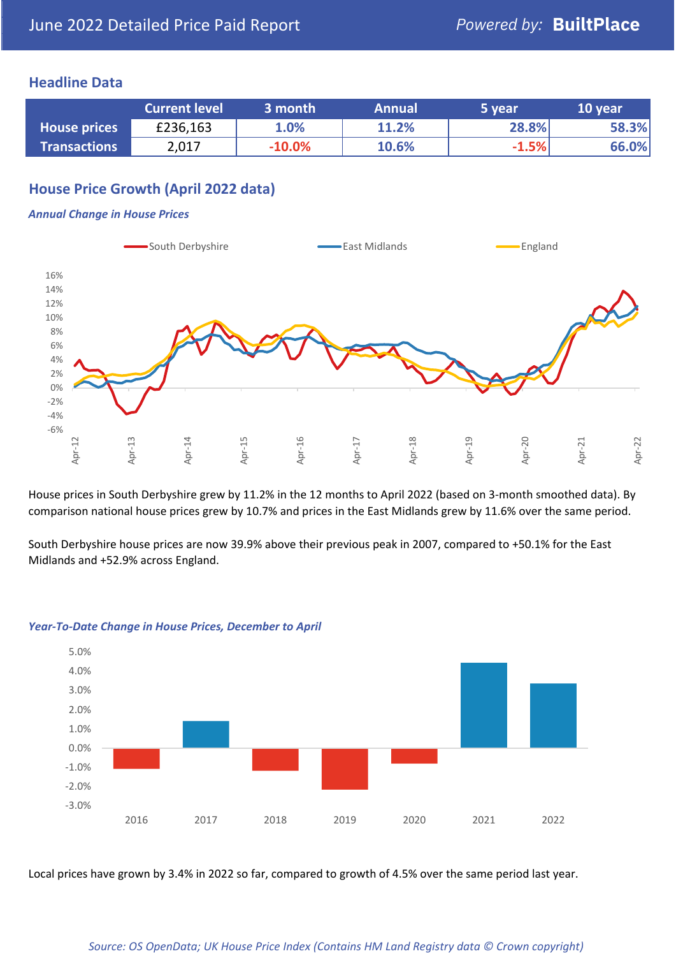#### **Headline Data**

|                     | <b>Current level</b> | 3 month  | <b>Annual</b> | 5 year  | 10 year |
|---------------------|----------------------|----------|---------------|---------|---------|
| <b>House prices</b> | £236,163             | 1.0%     | 11.2%         | 28.8%   | 58.3%   |
| <b>Transactions</b> | 2,017                | $-10.0%$ | 10.6%         | $-1.5%$ | 66.0%   |

# **House Price Growth (April 2022 data)**

#### *Annual Change in House Prices*



House prices in South Derbyshire grew by 11.2% in the 12 months to April 2022 (based on 3-month smoothed data). By comparison national house prices grew by 10.7% and prices in the East Midlands grew by 11.6% over the same period.

South Derbyshire house prices are now 39.9% above their previous peak in 2007, compared to +50.1% for the East Midlands and +52.9% across England.



#### *Year-To-Date Change in House Prices, December to April*

Local prices have grown by 3.4% in 2022 so far, compared to growth of 4.5% over the same period last year.

#### *Source: OS OpenData; UK House Price Index (Contains HM Land Registry data © Crown copyright)*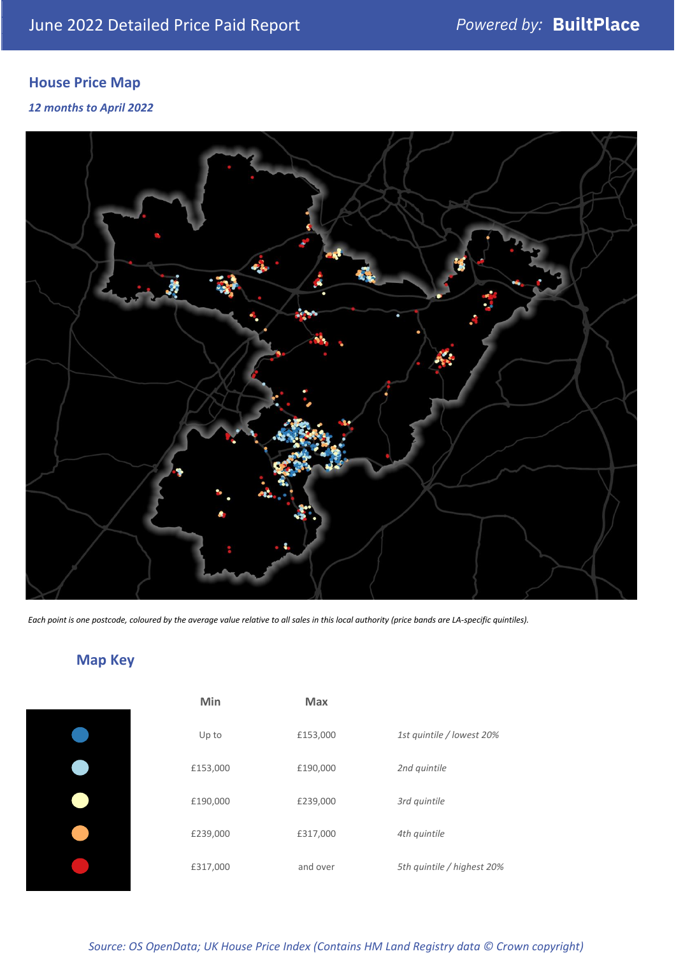# **House Price Map**

*12 months to April 2022*



*Each point is one postcode, coloured by the average value relative to all sales in this local authority (price bands are LA-specific quintiles).*

# **Map Key**

| Min      | <b>Max</b> |                            |
|----------|------------|----------------------------|
| Up to    | £153,000   | 1st quintile / lowest 20%  |
| £153,000 | £190,000   | 2nd quintile               |
| £190,000 | £239,000   | 3rd quintile               |
| £239,000 | £317,000   | 4th quintile               |
| £317,000 | and over   | 5th quintile / highest 20% |

*Source: OS OpenData; UK House Price Index (Contains HM Land Registry data © Crown copyright)*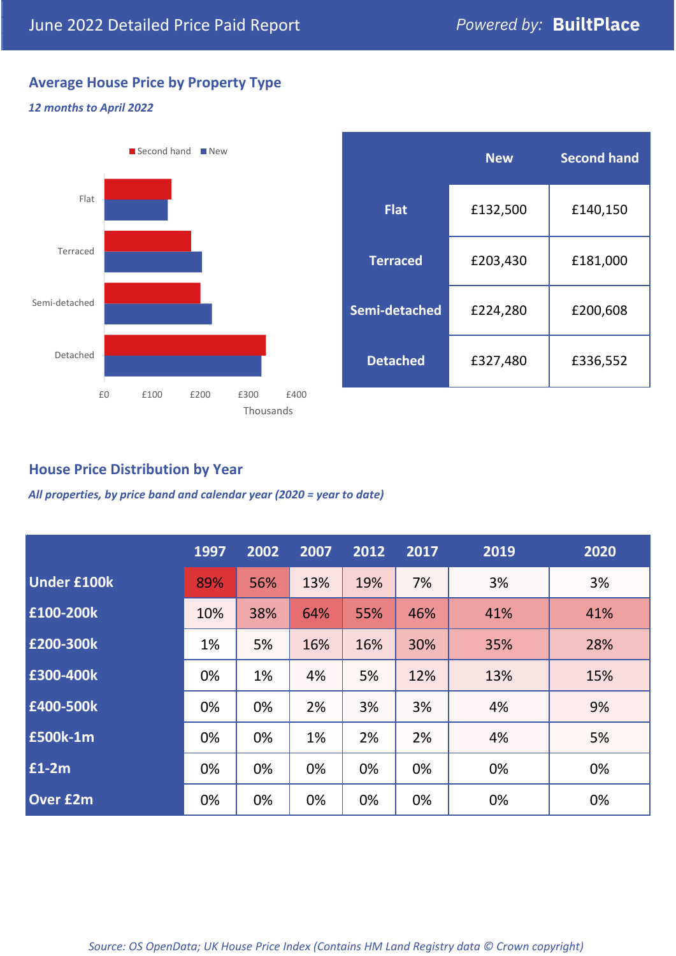# **Average House Price by Property Type**

#### *12 months to April 2022*



|                 | <b>New</b> | <b>Second hand</b> |  |  |
|-----------------|------------|--------------------|--|--|
| <b>Flat</b>     | £132,500   | £140,150           |  |  |
| <b>Terraced</b> | £203,430   | £181,000           |  |  |
| Semi-detached   | £224,280   | £200,608           |  |  |
| <b>Detached</b> | £327,480   | £336,552           |  |  |

# **House Price Distribution by Year**

*All properties, by price band and calendar year (2020 = year to date)*

|                    | 1997 | 2002 | 2007 | 2012 | 2017 | 2019 | 2020 |
|--------------------|------|------|------|------|------|------|------|
| <b>Under £100k</b> | 89%  | 56%  | 13%  | 19%  | 7%   | 3%   | 3%   |
| £100-200k          | 10%  | 38%  | 64%  | 55%  | 46%  | 41%  | 41%  |
| E200-300k          | 1%   | 5%   | 16%  | 16%  | 30%  | 35%  | 28%  |
| £300-400k          | 0%   | 1%   | 4%   | 5%   | 12%  | 13%  | 15%  |
| £400-500k          | 0%   | 0%   | 2%   | 3%   | 3%   | 4%   | 9%   |
| <b>£500k-1m</b>    | 0%   | 0%   | 1%   | 2%   | 2%   | 4%   | 5%   |
| £1-2m              | 0%   | 0%   | 0%   | 0%   | 0%   | 0%   | 0%   |
| <b>Over £2m</b>    | 0%   | 0%   | 0%   | 0%   | 0%   | 0%   | 0%   |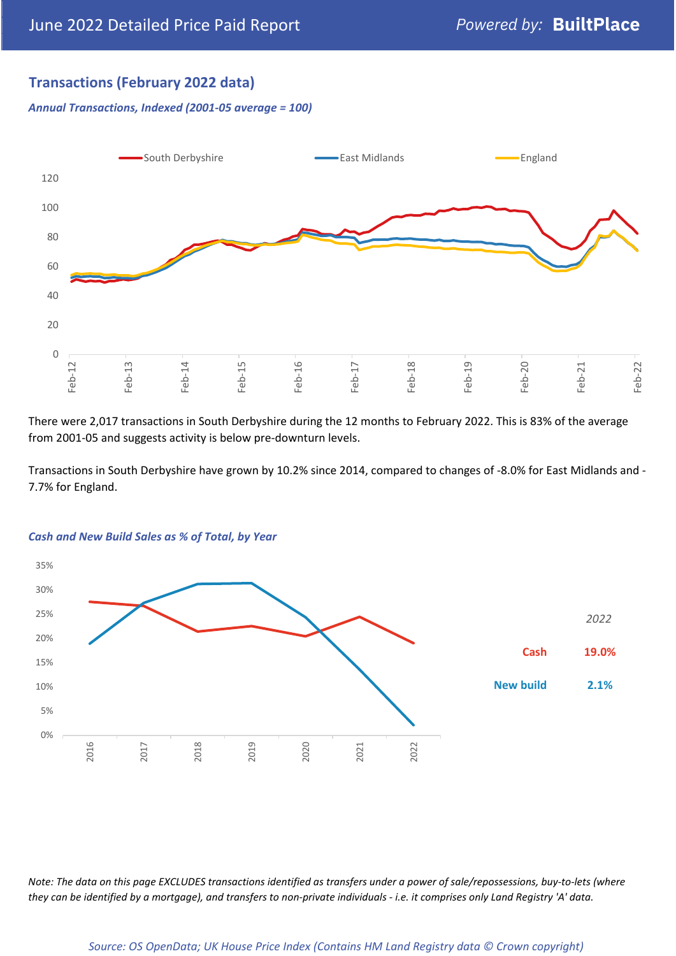# **Transactions (February 2022 data)**

*Annual Transactions, Indexed (2001-05 average = 100)*



There were 2,017 transactions in South Derbyshire during the 12 months to February 2022. This is 83% of the average from 2001-05 and suggests activity is below pre-downturn levels.

Transactions in South Derbyshire have grown by 10.2% since 2014, compared to changes of -8.0% for East Midlands and - 7.7% for England.



#### *Cash and New Build Sales as % of Total, by Year*

*Note: The data on this page EXCLUDES transactions identified as transfers under a power of sale/repossessions, buy-to-lets (where they can be identified by a mortgage), and transfers to non-private individuals - i.e. it comprises only Land Registry 'A' data.*